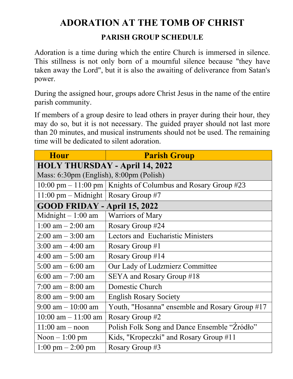## **ADORATION AT THE TOMB OF CHRIST**

## **PARISH GROUP SCHEDULE**

Adoration is a time during which the entire Church is immersed in silence. This stillness is not only born of a mournful silence because "they have taken away the Lord", but it is also the awaiting of deliverance from Satan's power.

During the assigned hour, groups adore Christ Jesus in the name of the entire parish community.

If members of a group desire to lead others in prayer during their hour, they may do so, but it is not necessary. The guided prayer should not last more than 20 minutes, and musical instruments should not be used. The remaining time will be dedicated to silent adoration.

| <b>Hour</b>                             | <b>Parish Group</b>                                               |  |
|-----------------------------------------|-------------------------------------------------------------------|--|
| <b>HOLY THURSDAY - April 14, 2022</b>   |                                                                   |  |
| Mass: 6:30pm (English), 8:00pm (Polish) |                                                                   |  |
|                                         | 10:00 pm – 11:00 pm   Knights of Columbus and Rosary Group $\#23$ |  |
| 11:00 pm – Midnight   Rosary Group #7   |                                                                   |  |
| GOOD FRIDAY - April 15, 2022            |                                                                   |  |
| Midnight $-1:00$ am                     | Warriors of Mary                                                  |  |
| 1:00 am $-$ 2:00 am                     | Rosary Group #24                                                  |  |
| $2:00 \text{ am} - 3:00 \text{ am}$     | <b>Lectors and Eucharistic Ministers</b>                          |  |
| $3:00 \text{ am} - 4:00 \text{ am}$     | Rosary Group #1                                                   |  |
| $4:00 \text{ am} - 5:00 \text{ am}$     | Rosary Group #14                                                  |  |
| $5:00 \text{ am} - 6:00 \text{ am}$     | Our Lady of Ludzmierz Committee                                   |  |
| 6:00 am $-7:00$ am                      | SEYA and Rosary Group #18                                         |  |
| $7:00$ am $-8:00$ am                    | Domestic Church                                                   |  |
| $8:00 \text{ am} - 9:00 \text{ am}$     | <b>English Rosary Society</b>                                     |  |
| $9:00 \text{ am} - 10:00 \text{ am}$    | Youth, "Hosanna" ensemble and Rosary Group #17                    |  |
| 10:00 am $-$ 11:00 am                   | Rosary Group #2                                                   |  |
| $11:00$ am $-$ noon                     | Polish Folk Song and Dance Ensemble "Zródło"                      |  |
| Noon $-1:00$ pm                         | Kids, "Kropeczki" and Rosary Group #11                            |  |
| $1:00 \text{ pm} - 2:00 \text{ pm}$     | Rosary Group #3                                                   |  |